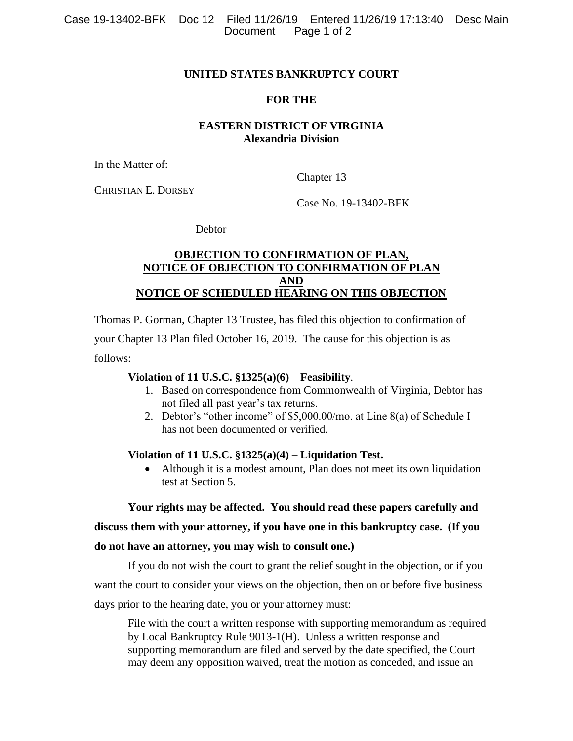#### **UNITED STATES BANKRUPTCY COURT**

### **FOR THE**

# **EASTERN DISTRICT OF VIRGINIA Alexandria Division**

In the Matter of:

Chapter 13

CHRISTIAN E. DORSEY

Case No. 19-13402-BFK

**Debtor** 

## **OBJECTION TO CONFIRMATION OF PLAN, NOTICE OF OBJECTION TO CONFIRMATION OF PLAN AND NOTICE OF SCHEDULED HEARING ON THIS OBJECTION**

Thomas P. Gorman, Chapter 13 Trustee, has filed this objection to confirmation of your Chapter 13 Plan filed October 16, 2019. The cause for this objection is as follows:

### **Violation of 11 U.S.C. §1325(a)(6)** – **Feasibility**.

- 1. Based on correspondence from Commonwealth of Virginia, Debtor has not filed all past year's tax returns.
- 2. Debtor's "other income" of \$5,000.00/mo. at Line 8(a) of Schedule I has not been documented or verified.

### **Violation of 11 U.S.C. §1325(a)(4)** – **Liquidation Test.**

• Although it is a modest amount, Plan does not meet its own liquidation test at Section 5.

### **Your rights may be affected. You should read these papers carefully and**

### **discuss them with your attorney, if you have one in this bankruptcy case. (If you**

### **do not have an attorney, you may wish to consult one.)**

If you do not wish the court to grant the relief sought in the objection, or if you want the court to consider your views on the objection, then on or before five business days prior to the hearing date, you or your attorney must:

File with the court a written response with supporting memorandum as required by Local Bankruptcy Rule 9013-1(H). Unless a written response and supporting memorandum are filed and served by the date specified, the Court may deem any opposition waived, treat the motion as conceded, and issue an